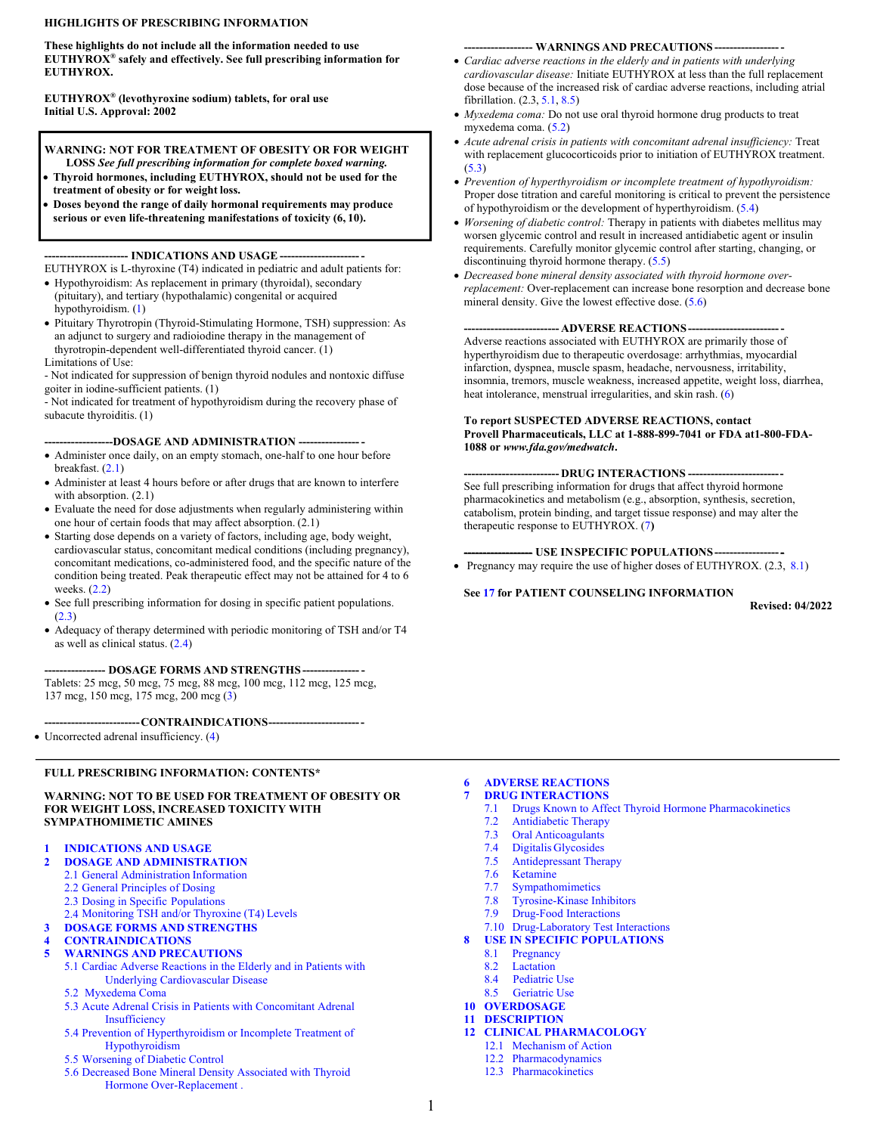#### **HIGHLIGHTS OF PRESCRIBING INFORMATION**

**These highlights do not include all the information needed to use EUTHYROX® safely and effectively. See full prescribing information for EUTHYROX.**

**EUTHYROX® (levothyroxine sodium) tablets, for oral use Initial U.S. Approval: 2002**

**WARNING: NOT FOR TREATMENT OF OBESITY OR FOR WEIGHT LOSS** *See full prescribing information for complete boxed warning.*

- **Thyroid hormones, including EUTHYROX, should not be used for the treatment of obesity or for weight loss.**
- **Doses beyond the range of daily hormonal requirements may produce serious or even life-threatening manifestations of toxicity (6, 10).**

**---------------------- INDICATIONS AND USAGE ----------------------**

EUTHYROX is L-thyroxine (T4) indicated in pediatric and adult patients for:

- Hypothyroidism: As replacement in primary (thyroidal), secondary (pituitary), and tertiary (hypothalamic) congenital or acquired hypothyroidism. [\(1](#page-2-0))
- Pituitary Thyrotropin (Thyroid-Stimulating Hormone, TSH) suppression: As an adjunct to surgery and radioiodine therapy in the management of thyrotropin-dependent well-differentiated thyroid cancer. (1)
- Limitations of Use:

- Not indicated for suppression of benign thyroid nodules and nontoxic diffuse goiter in iodine-sufficient patients. (1)

- Not indicated for treatment of hypothyroidism during the recovery phase of subacute thyroiditis. (1)

#### **------------------DOSAGE AND ADMINISTRATION ---------------- -**

- Administer once daily, on an empty stomach, one-half to one hour before breakfast. [\(2.1](#page-2-0))
- Administer at least 4 hours before or after drugs that are known to interfere with absorption.  $(2.1)$
- Evaluate the need for dose adjustments when regularly administering within one hour of certain foods that may affect absorption. (2.1)
- Starting dose depends on a variety of factors, including age, body weight, cardiovascular status, concomitant medical conditions (including pregnancy), concomitant medications, co-administered food, and the specific nature of the condition being treated. Peak therapeutic effect may not be attained for 4 to 6 weeks. ([2.2\)](#page-3-0)
- See full prescribing information for dosing in specific patient populations. ([2.3\)](#page-3-0)
- Adequacy of therapy determined with periodic monitoring of TSH and/or T4 as well as clinical status. ([2.4\)](#page-5-0)

#### **---------------- DOSAGE FORMS AND STRENGTHS --------------- -**

Tablets: 25 mcg, 50 mcg, 75 mcg, 88 mcg, 100 mcg, 112 mcg, 125 mcg, 137 mcg, 150 mcg, 175 mcg, 200 mcg ([3\)](#page-5-0)

**-------------------------CONTRAINDICATIONS-------------------------**

• Uncorrected adrenal insufficiency. [\(4](#page-6-0))

#### **FULL PRESCRIBING INFORMATION: CONTENTS\***

#### **WARNING: NOT TO BE USED FOR TREATMENT OF OBESITY OR FOR WEIGHT LOSS, INCREASED TOXICITY WITH SYMPATHOMIMETIC AMINES**

#### **1 [INDICATIONS AND](#page-2-0) USAGE**

- **2 DOSAGE AND [ADMINISTRATION](#page-2-1)**
	- 2.1 [General Administration](#page-2-0) Information
	- 2.2 [General Principles of](#page-3-0) Dosing
	- 2.3 [Dosing in Specific](#page-3-0) Populations
	- 2.4 [Monitoring TSH and/or Thyroxine \(T4\)](#page-5-0) Levels
- **3 [DOSAGE FORMS AND](#page-5-0) STRENGTHS**

#### **4 [CONTRAINDICATIONS](#page-6-0) 5 [WARNINGS AND](#page-6-0) PRECAUTIONS**

- 5.1 [Cardiac Adverse Reactions in the Elderly and in Patients with](#page-6-1) Underlying Cardiovascular Disease
- [5.2 Myxedema Coma](#page-6-0)
- 5.3 [Acute Adrenal Crisis in Patients with Concomitant Adrenal](#page-6-0) Insufficiency
- 5.4 [Prevention of Hyperthyroidism or Incomplete Treatment of](#page-7-0) Hypothyroidism
- 5.5 [Worsening of Diabetic](#page-7-0) Control
- 5.6 [Decreased Bone Mineral Density Associated with Thyroid](#page-7-0) Hormone Over-Replacement .

#### **------------------ WARNINGS AND PRECAUTIONS ------------------**

- *Cardiac adverse reactions in the elderly and in patients with underlying cardiovascular disease:* Initiate EUTHYROX at less than the full replacement dose because of the increased risk of cardiac adverse reactions, including atrial fibrillation. (2.3, [5.1](#page-6-1), [8.5\)](#page-13-0)
- *Myxedema coma:* Do not use oral thyroid hormone drug products to treat myxedema coma. [\(5.2](#page-6-0))
- *Acute adrenal crisis in patients with concomitant adrenal insufficiency:* Treat with replacement glucocorticoids prior to initiation of EUTHYROX treatment. ([5.3\)](#page-6-0)
- *Prevention of hyperthyroidism or incomplete treatment of hypothyroidism:*  Proper dose titration and careful monitoring is critical to prevent the persistence of hypothyroidism or the development of hyperthyroidism. [\(5.4](#page-7-0))
- *Worsening of diabetic control:* Therapy in patients with diabetes mellitus may worsen glycemic control and result in increased antidiabetic agent or insulin requirements. Carefully monitor glycemic control after starting, changing, or discontinuing thyroid hormone therapy. [\(5.5](#page-7-0))
- *Decreased bone mineral density associated with thyroid hormone overreplacement:* Over-replacement can increase bone resorption and decrease bone mineral density. Give the lowest effective dose. ([5.6\)](#page-7-0)

**------------------------- ADVERSE REACTIONS-------------------------** Adverse reactions associated with EUTHYROX are primarily those of hyperthyroidism due to therapeutic overdosage: arrhythmias, myocardial infarction, dyspnea, muscle spasm, headache, nervousness, irritability, insomnia, tremors, muscle weakness, increased appetite, weight loss, diarrhea, heat intolerance, menstrual irregularities, and skin rash. [\(6](#page-7-0))

#### **To report SUSPECTED ADVERSE REACTIONS, contact Provell Pharmaceuticals, LLC at 1-888-899-7041 or FDA at1-800-FDA-1088 or** *www.fda.gov/medwatch***.**

**------------------------- DRUG INTERACTIONS -------------------------** See full prescribing information for drugs that affect thyroid hormone pharmacokinetics and metabolism (e.g., absorption, synthesis, secretion, catabolism, protein binding, and target tissue response) and may alter the therapeutic response to EUTHYROX. [\(7](#page-8-0)**)**

**------------------ USE INSPECIFIC POPULATIONS------------------**

• Pregnancy may require the use of higher doses of EUTHYROX.  $(2.3, 8.1)$  $(2.3, 8.1)$  $(2.3, 8.1)$ 

#### **See [17](#page-16-0) for PATIENT COUNSELING INFORMATION**

**Revised: 04/2022**

# **6 ADVERSE [REACTIONS](#page-7-0)**

- **7 DRUG [INTERACTIONS](#page-8-0)**
	- 7.1 [Drugs Known to Affect Thyroid Hormone](#page-8-1) Pharmacokinetics
	- 7.2 [Antidiabetic](#page-10-0) Therapy<br>7.3 Oral Anticoagulants
	- 7.3 Oral [Anticoagulants](#page-10-0)<br>7.4 Digitalis Glycosides
	- Digitalis [Glycosides](#page-10-0)
	- 7.5 [Antidepressant Therapy](#page-10-0)
	- 7.6 [Ketamine](#page-11-0)<br>7.7 Sympatho
	- **[Sympathomimetics](#page-11-0)**
	- 7.8 [Tyrosine-Kinase Inhibitors](#page-11-0)
	- 7.9 Drug-Food [Interactions](#page-11-0)
	- 7.10 [Drug-Laboratory Test](#page-11-0) Interactions
- **8 [USE IN SPECIFIC](#page-11-0) POPULATIONS**
	- 8.1 [Pregnancy](#page-11-1)
	- 8.2 [Lactation](#page-12-0)
	- [8.4 Pediatric](#page-12-0) Use
- [8.5 Geriatric](#page-13-0) Use **10 [OVERDOSAGE](#page-13-0)**

#### **11 [DESCRIPTION](#page-13-0)**

- **12 [CLINICAL PHARMACOLOGY](#page-14-1)**
	- 12.1 [Mechanism of](#page-14-0) Action
	- 12.2 [Pharmacodynamics](#page-14-1)
	- 12.3 [Pharmacokinetics](#page-14-1)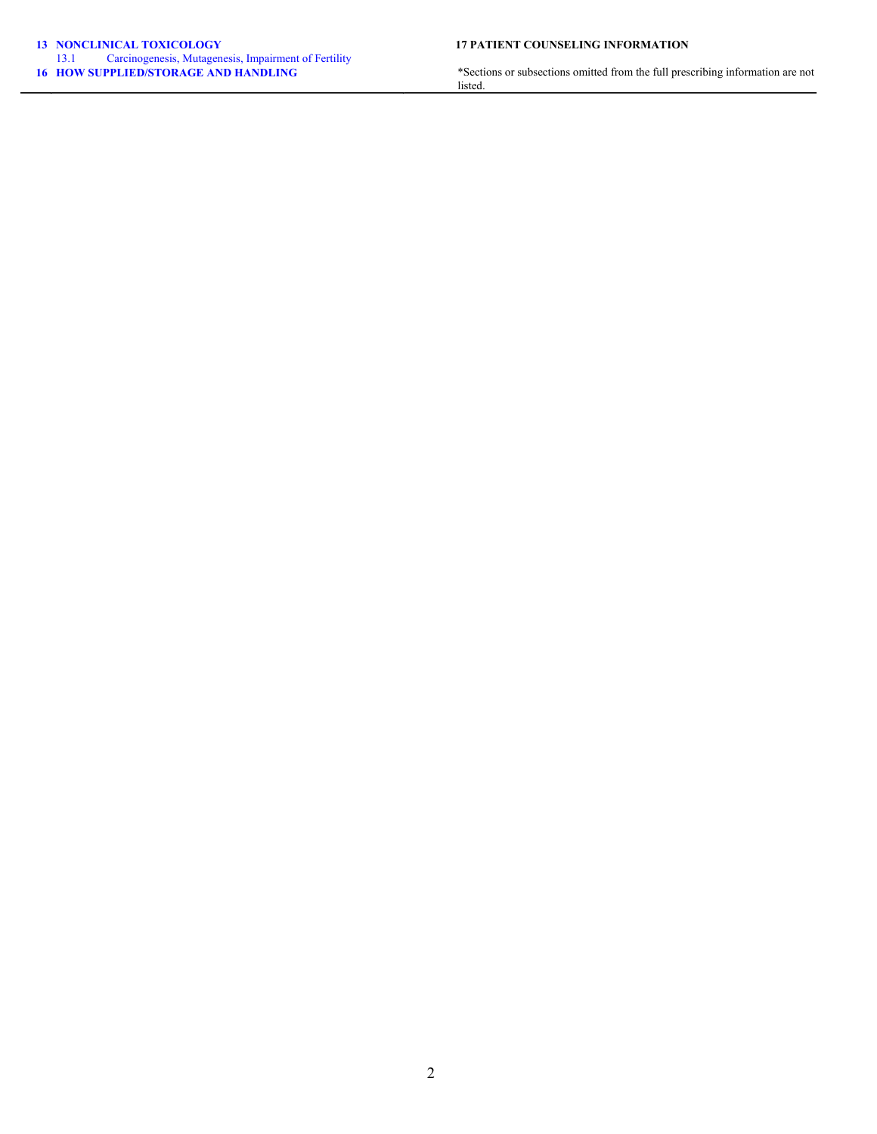# **13 [NONCLINICAL TOXICOLOGY](#page-15-1) 17 PATIENT COUNSELING INFORMATION** 13.1 [Carcinogenesis, Mutagenesis, Impairment of Fertility](#page-15-0)<br>16 HOW SUPPLIED/STORAGE AND HANDLING

**16 [HOW SUPPLIED/STORAGE AND HANDLING](#page-15-2)** \*Sections or subsections omitted from the full prescribing information are not listed.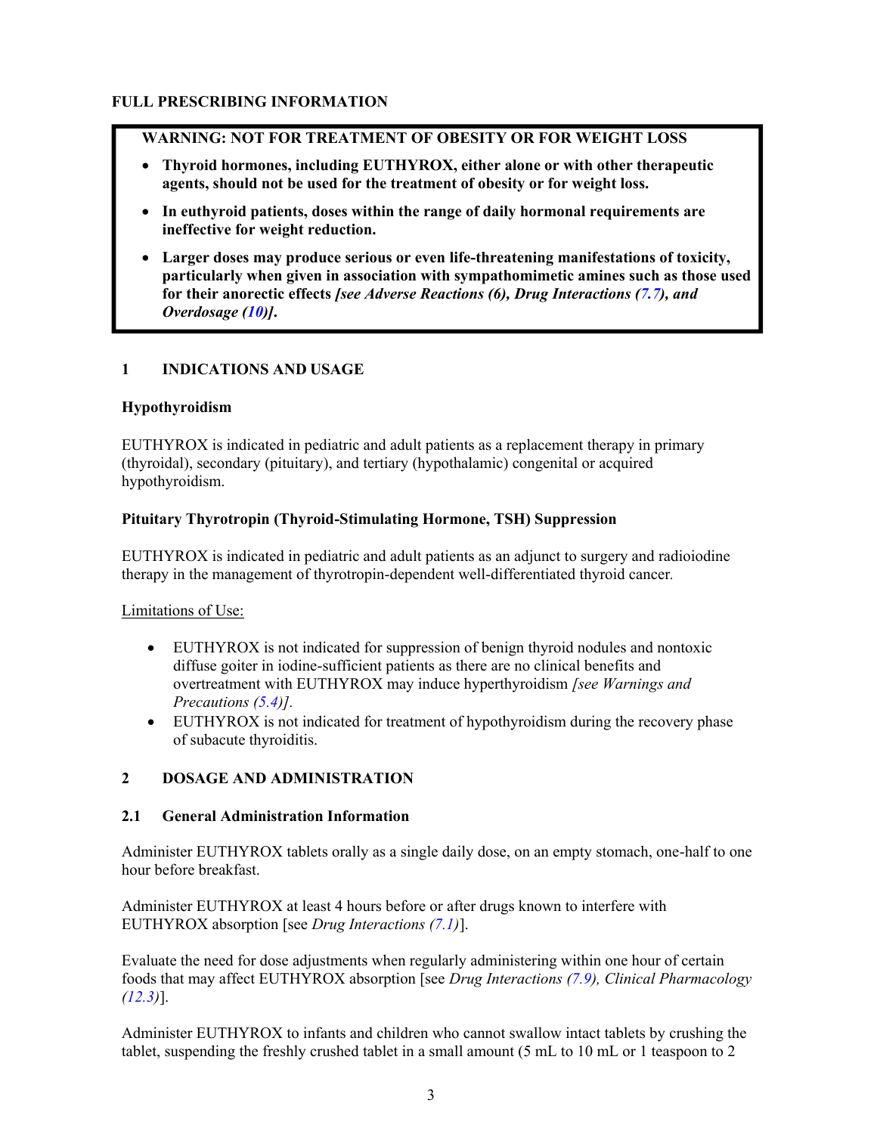### <span id="page-2-1"></span><span id="page-2-0"></span>**WARNING: NOT FOR TREATMENT OF OBESITY OR FOR WEIGHT LOSS**

- **Thyroid hormones, including EUTHYROX, either alone or with other therapeutic agents, should not be used for the treatment of obesity or for weight loss.**
- **In euthyroid patients, doses within the range of daily hormonal requirements are ineffective for weight reduction.**
- **Larger doses may produce serious or even life-threatening manifestations of toxicity, particularly when given in association with sympathomimetic amines such as those used for their anorectic effects** *[see Adverse Reactions (6), Drug Interactions [\(7.7\)](#page-11-3), and Overdosage ([10\)](#page-13-1)]***.**

# **1 INDICATIONS AND USAGE**

#### **Hypothyroidism**

EUTHYROX is indicated in pediatric and adult patients as a replacement therapy in primary (thyroidal), secondary (pituitary), and tertiary (hypothalamic) congenital or acquired hypothyroidism.

### **Pituitary Thyrotropin (Thyroid-Stimulating Hormone, TSH) Suppression**

EUTHYROX is indicated in pediatric and adult patients as an adjunct to surgery and radioiodine therapy in the management of thyrotropin-dependent well-differentiated thyroid cancer*.*

# Limitations of Use:

- EUTHYROX is not indicated for suppression of benign thyroid nodules and nontoxic diffuse goiter in iodine-sufficient patients as there are no clinical benefits and overtreatment with EUTHYROX may induce hyperthyroidism *[see Warnings and Precautions [\(5.4](#page-7-1))].*
- EUTHYROX is not indicated for treatment of hypothyroidism during the recovery phase of subacute thyroiditis.

# <span id="page-2-2"></span>**2 DOSAGE AND ADMINISTRATION**

#### **2.1 General Administration Information**

Administer EUTHYROX tablets orally as a single daily dose, on an empty stomach, one-half to one hour before breakfast.

Administer EUTHYROX at least 4 hours before or after drugs known to interfere with EUTHYROX absorption [see *Drug Interactions [\(7.1](#page-8-2))*].

Evaluate the need for dose adjustments when regularly administering within one hour of certain foods that may affect EUTHYROX absorption [see *Drug Interactions [\(7.9](#page-11-2)), Clinical Pharmacology ([12.3\)](#page-14-2)*].

Administer EUTHYROX to infants and children who cannot swallow intact tablets by crushing the tablet, suspending the freshly crushed tablet in a small amount (5 mL to 10 mL or 1 teaspoon to 2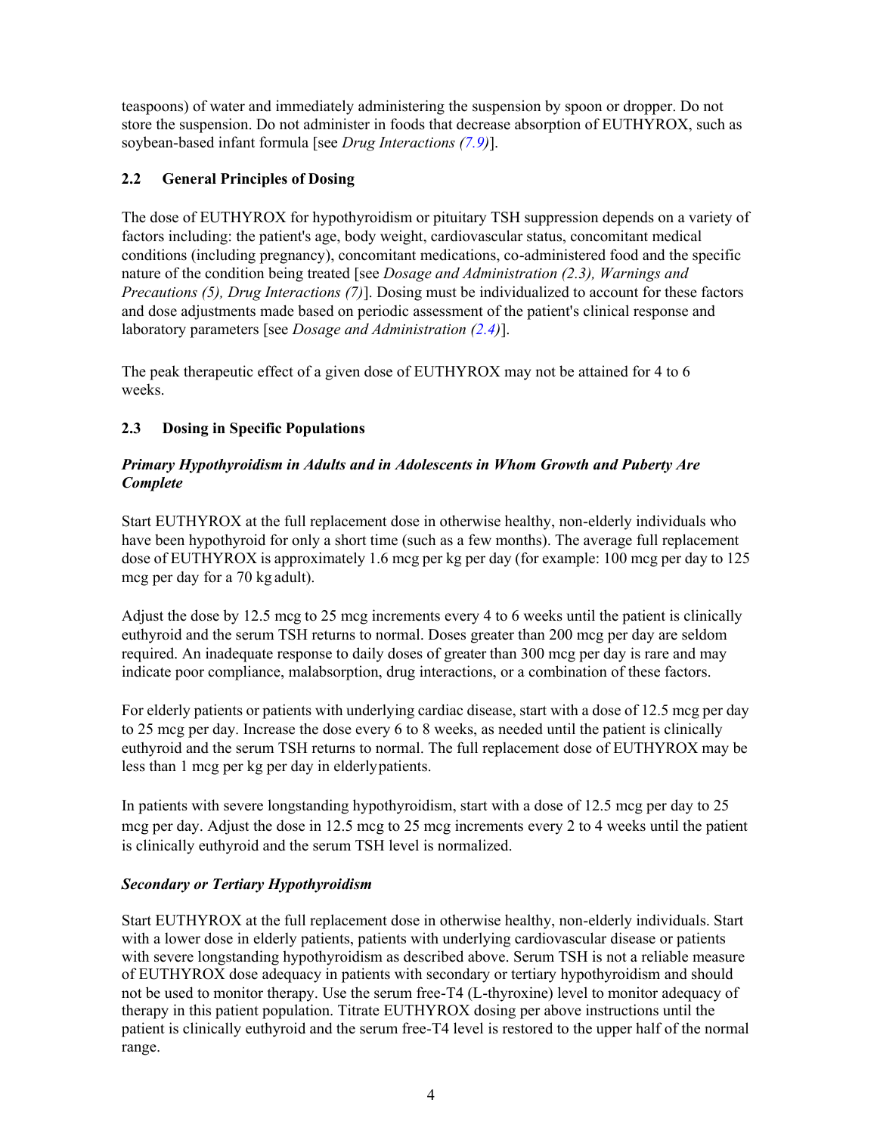<span id="page-3-0"></span>teaspoons) of water and immediately administering the suspension by spoon or dropper. Do not store the suspension. Do not administer in foods that decrease absorption of EUTHYROX, such as soybean-based infant formula [see *Drug Interactions [\(7.9](#page-11-2))*].

# **2.2 General Principles of Dosing**

The dose of EUTHYROX for hypothyroidism or pituitary TSH suppression depends on a variety of factors including: the patient's age, body weight, cardiovascular status, concomitant medical conditions (including pregnancy), concomitant medications, co-administered food and the specific nature of the condition being treated [see *Dosage and Administration (2.3), Warnings and Precautions (5), Drug Interactions (7)*]. Dosing must be individualized to account for these factors and dose adjustments made based on periodic assessment of the patient's clinical response and laboratory parameters [see *Dosage and Administration [\(2.4](#page-5-1))*].

The peak therapeutic effect of a given dose of EUTHYROX may not be attained for 4 to 6 weeks.

# <span id="page-3-1"></span>**2.3 Dosing in Specific Populations**

# *Primary Hypothyroidism in Adults and in Adolescents in Whom Growth and Puberty Are Complete*

Start EUTHYROX at the full replacement dose in otherwise healthy, non-elderly individuals who have been hypothyroid for only a short time (such as a few months). The average full replacement dose of EUTHYROX is approximately 1.6 mcg per kg per day (for example: 100 mcg per day to 125 mcg per day for a 70 kg adult).

Adjust the dose by 12.5 mcg to 25 mcg increments every 4 to 6 weeks until the patient is clinically euthyroid and the serum TSH returns to normal. Doses greater than 200 mcg per day are seldom required. An inadequate response to daily doses of greater than 300 mcg per day is rare and may indicate poor compliance, malabsorption, drug interactions, or a combination of these factors.

For elderly patients or patients with underlying cardiac disease, start with a dose of 12.5 mcg per day to 25 mcg per day. Increase the dose every 6 to 8 weeks, as needed until the patient is clinically euthyroid and the serum TSH returns to normal. The full replacement dose of EUTHYROX may be less than 1 mcg per kg per day in elderlypatients.

In patients with severe longstanding hypothyroidism, start with a dose of 12.5 mcg per day to 25 mcg per day. Adjust the dose in 12.5 mcg to 25 mcg increments every 2 to 4 weeks until the patient is clinically euthyroid and the serum TSH level is normalized.

# *Secondary or Tertiary Hypothyroidism*

Start EUTHYROX at the full replacement dose in otherwise healthy, non-elderly individuals. Start with a lower dose in elderly patients, patients with underlying cardiovascular disease or patients with severe longstanding hypothyroidism as described above. Serum TSH is not a reliable measure of EUTHYROX dose adequacy in patients with secondary or tertiary hypothyroidism and should not be used to monitor therapy. Use the serum free-T4 (L-thyroxine) level to monitor adequacy of therapy in this patient population. Titrate EUTHYROX dosing per above instructions until the patient is clinically euthyroid and the serum free-T4 level is restored to the upper half of the normal range.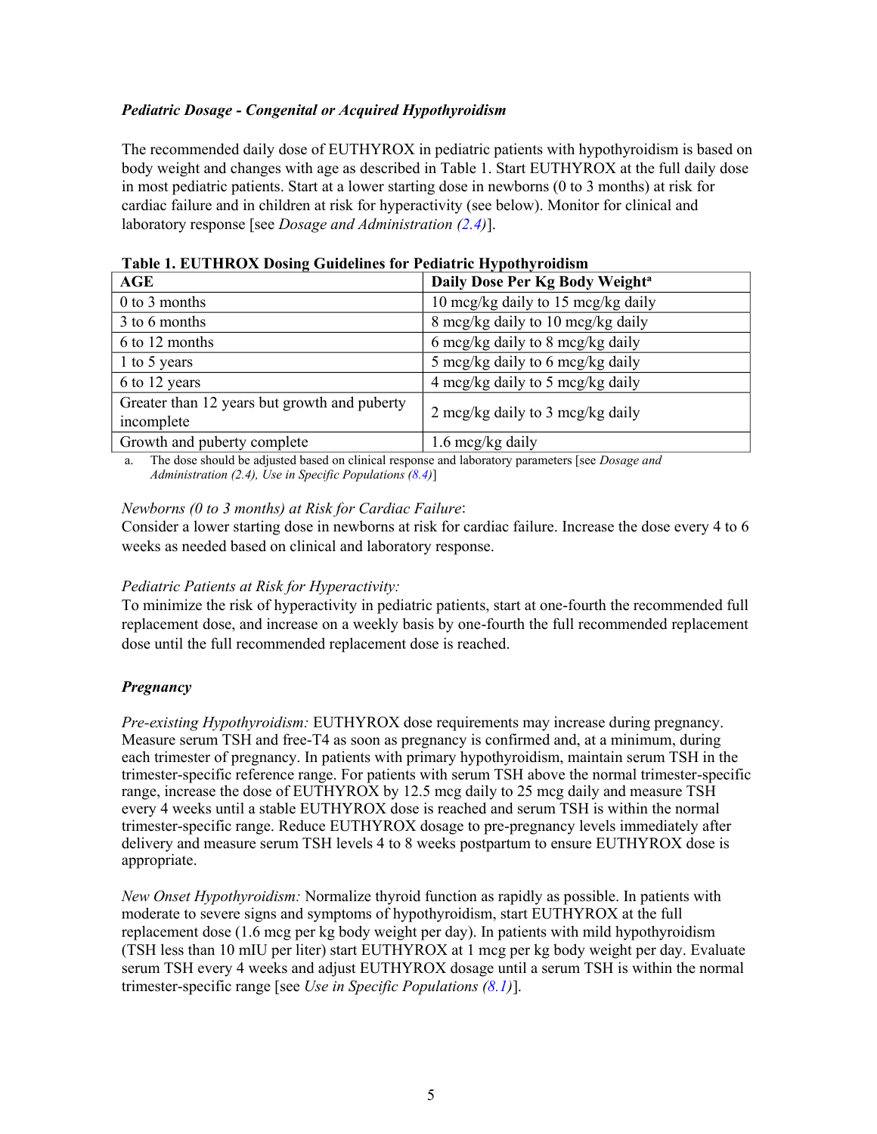# *Pediatric Dosage - Congenital or Acquired Hypothyroidism*

The recommended daily dose of EUTHYROX in pediatric patients with hypothyroidism is based on body weight and changes with age as described in Table 1. Start EUTHYROX at the full daily dose in most pediatric patients. Start at a lower starting dose in newborns (0 to 3 months) at risk for cardiac failure and in children at risk for hyperactivity (see below). Monitor for clinical and laboratory response [see *Dosage and Administration ([2.4](#page-5-1))*].

| AGE                                                        | Daily Dose Per Kg Body Weight <sup>a</sup> |  |  |  |
|------------------------------------------------------------|--------------------------------------------|--|--|--|
| $0$ to 3 months                                            | 10 mcg/kg daily to 15 mcg/kg daily         |  |  |  |
| 3 to 6 months                                              | 8 mcg/kg daily to 10 mcg/kg daily          |  |  |  |
| 6 to 12 months                                             | 6 mcg/kg daily to 8 mcg/kg daily           |  |  |  |
| 1 to 5 years                                               | 5 mcg/kg daily to 6 mcg/kg daily           |  |  |  |
| 6 to 12 years                                              | 4 mcg/kg daily to 5 mcg/kg daily           |  |  |  |
| Greater than 12 years but growth and puberty<br>incomplete | 2 mcg/kg daily to 3 mcg/kg daily           |  |  |  |
| Growth and puberty complete                                | 1.6 mcg/kg daily                           |  |  |  |

**Table 1. EUTHROX Dosing Guidelines for Pediatric Hypothyroidism**

a. The dose should be adjusted based on clinical response and laboratory parameters [see *Dosage and Administration (2.4), Use in Specific Populations ([8.4](#page-12-1))*]

#### *Newborns (0 to 3 months) at Risk for Cardiac Failure*:

Consider a lower starting dose in newborns at risk for cardiac failure. Increase the dose every 4 to 6 weeks as needed based on clinical and laboratory response.

#### *Pediatric Patients at Risk for Hyperactivity:*

To minimize the risk of hyperactivity in pediatric patients, start at one-fourth the recommended full replacement dose, and increase on a weekly basis by one-fourth the full recommended replacement dose until the full recommended replacement dose is reached.

#### *Pregnancy*

*Pre-existing Hypothyroidism:* EUTHYROX dose requirements may increase during pregnancy. Measure serum TSH and free-T4 as soon as pregnancy is confirmed and, at a minimum, during each trimester of pregnancy. In patients with primary hypothyroidism, maintain serum TSH in the trimester-specific reference range. For patients with serum TSH above the normal trimester-specific range, increase the dose of EUTHYROX by 12.5 mcg daily to 25 mcg daily and measure TSH every 4 weeks until a stable EUTHYROX dose is reached and serum TSH is within the normal trimester-specific range. Reduce EUTHYROX dosage to pre-pregnancy levels immediately after delivery and measure serum TSH levels 4 to 8 weeks postpartum to ensure EUTHYROX dose is appropriate.

*New Onset Hypothyroidism:* Normalize thyroid function as rapidly as possible. In patients with moderate to severe signs and symptoms of hypothyroidism, start EUTHYROX at the full replacement dose (1.6 mcg per kg body weight per day). In patients with mild hypothyroidism (TSH less than 10 mIU per liter) start EUTHYROX at 1 mcg per kg body weight per day. Evaluate serum TSH every 4 weeks and adjust EUTHYROX dosage until a serum TSH is within the normal trimester-specific range [see *Use in Specific Populations ([8.1](#page-11-4))*].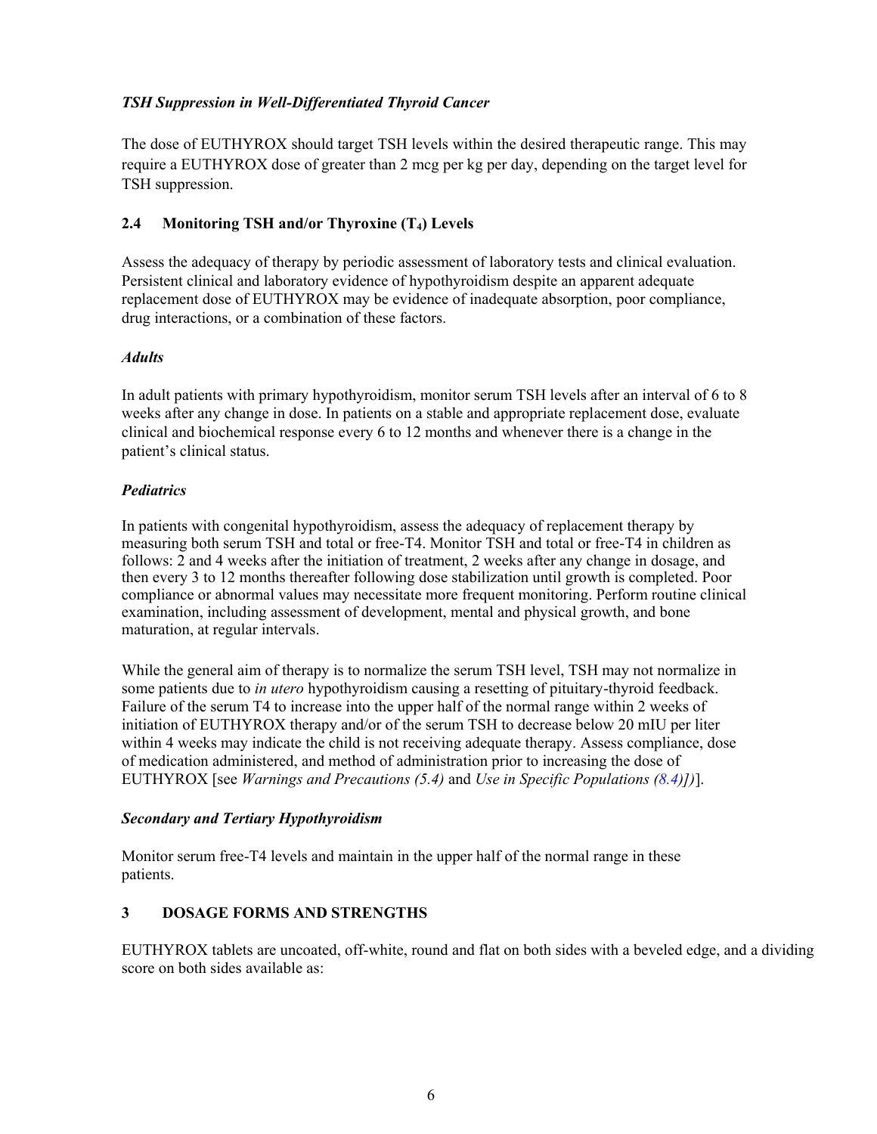# <span id="page-5-0"></span>*TSH Suppression in Well-Differentiated Thyroid Cancer*

The dose of EUTHYROX should target TSH levels within the desired therapeutic range. This may require a EUTHYROX dose of greater than 2 mcg per kg per day, depending on the target level for TSH suppression.

# <span id="page-5-1"></span>**2.4 Monitoring TSH and/or Thyroxine (T4) Levels**

Assess the adequacy of therapy by periodic assessment of laboratory tests and clinical evaluation. Persistent clinical and laboratory evidence of hypothyroidism despite an apparent adequate replacement dose of EUTHYROX may be evidence of inadequate absorption, poor compliance, drug interactions, or a combination of these factors.

# *Adults*

In adult patients with primary hypothyroidism, monitor serum TSH levels after an interval of 6 to 8 weeks after any change in dose. In patients on a stable and appropriate replacement dose, evaluate clinical and biochemical response every 6 to 12 months and whenever there is a change in the patient's clinical status.

# *Pediatrics*

In patients with congenital hypothyroidism, assess the adequacy of replacement therapy by measuring both serum TSH and total or free-T4. Monitor TSH and total or free-T4 in children as follows: 2 and 4 weeks after the initiation of treatment, 2 weeks after any change in dosage, and then every 3 to 12 months thereafter following dose stabilization until growth is completed. Poor compliance or abnormal values may necessitate more frequent monitoring. Perform routine clinical examination, including assessment of development, mental and physical growth, and bone maturation, at regular intervals.

While the general aim of therapy is to normalize the serum TSH level, TSH may not normalize in some patients due to *in utero* hypothyroidism causing a resetting of pituitary-thyroid feedback. Failure of the serum T4 to increase into the upper half of the normal range within 2 weeks of initiation of EUTHYROX therapy and/or of the serum TSH to decrease below 20 mIU per liter within 4 weeks may indicate the child is not receiving adequate therapy. Assess compliance, dose of medication administered, and method of administration prior to increasing the dose of EUTHYROX [see *Warnings and Precautions (5.4)* and *Use in Specific Populations [\(8.4\)](#page-12-1)])*].

# *Secondary and Tertiary Hypothyroidism*

Monitor serum free-T4 levels and maintain in the upper half of the normal range in these patients.

# **3 DOSAGE FORMS AND STRENGTHS**

EUTHYROX tablets are uncoated, off-white, round and flat on both sides with a beveled edge, and a dividing score on both sides available as: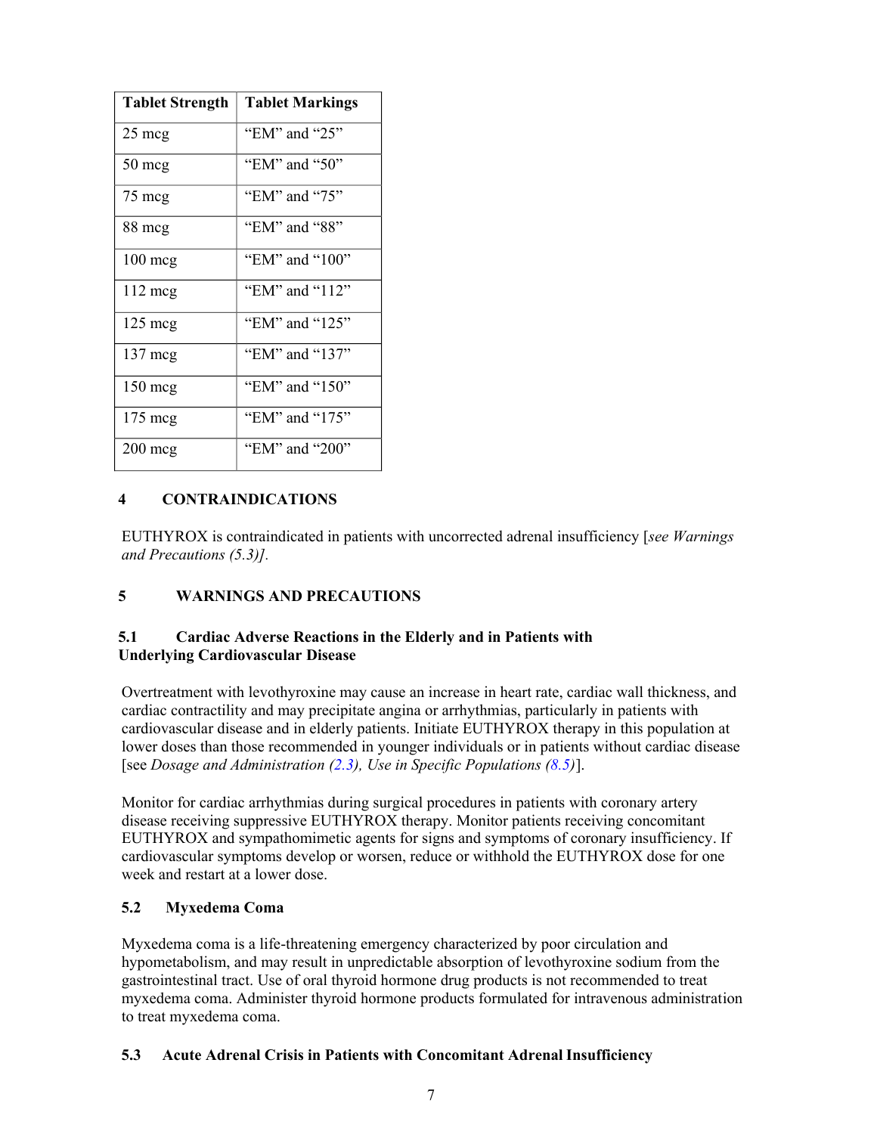<span id="page-6-1"></span><span id="page-6-0"></span>

| <b>Tablet Strength</b> | <b>Tablet Markings</b> |
|------------------------|------------------------|
| 25 mcg                 | "EM" and "25"          |
| 50 mcg                 | "EM" and "50"          |
| 75 meg                 | "EM" and "75"          |
| 88 mcg                 | "EM" and "88"          |
| $100 \text{ mg}$       | "EM" and "100"         |
| 112 mcg                | "EM" and "112"         |
| $125 \text{ meg}$      | "EM" and "125"         |
| $137 \text{ meg}$      | "EM" and "137"         |
| 150 mcg                | "EM" and "150"         |
| 175 mcg                | "EM" and "175"         |
| $200$ mcg              | "EM" and "200"         |

# <span id="page-6-2"></span>**4 CONTRAINDICATIONS**

EUTHYROX is contraindicated in patients with uncorrected adrenal insufficiency [*see Warnings and Precautions (5.3)].*

#### <span id="page-6-4"></span><span id="page-6-3"></span>**5 WARNINGS AND PRECAUTIONS**

#### **5.1 Cardiac Adverse Reactions in the Elderly and in Patients with Underlying Cardiovascular Disease**

Overtreatment with levothyroxine may cause an increase in heart rate, cardiac wall thickness, and cardiac contractility and may precipitate angina or arrhythmias, particularly in patients with cardiovascular disease and in elderly patients. Initiate EUTHYROX therapy in this population at lower doses than those recommended in younger individuals or in patients without cardiac disease [see *Dosage and Administration [\(2.3](#page-3-1)), Use in Specific Populations [\(8.5](#page-13-2))*].

Monitor for cardiac arrhythmias during surgical procedures in patients with coronary artery disease receiving suppressive EUTHYROX therapy. Monitor patients receiving concomitant EUTHYROX and sympathomimetic agents for signs and symptoms of coronary insufficiency. If cardiovascular symptoms develop or worsen, reduce or withhold the EUTHYROX dose for one week and restart at a lower dose.

#### **5.2 Myxedema Coma**

Myxedema coma is a life-threatening emergency characterized by poor circulation and hypometabolism, and may result in unpredictable absorption of levothyroxine sodium from the gastrointestinal tract. Use of oral thyroid hormone drug products is not recommended to treat myxedema coma. Administer thyroid hormone products formulated for intravenous administration to treat myxedema coma.

#### **5.3 Acute Adrenal Crisis in Patients with Concomitant Adrenal Insufficiency**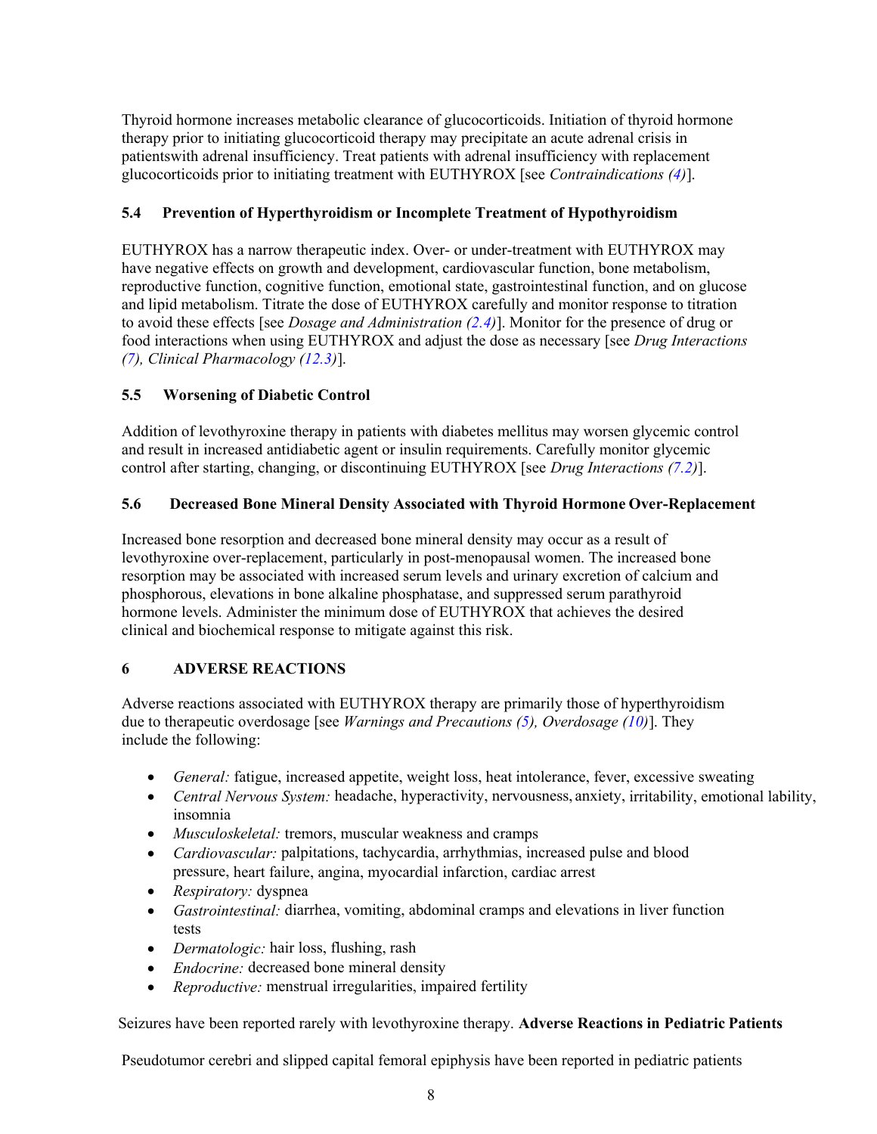<span id="page-7-0"></span>Thyroid hormone increases metabolic clearance of glucocorticoids. Initiation of thyroid hormone therapy prior to initiating glucocorticoid therapy may precipitate an acute adrenal crisis in patientswith adrenal insufficiency. Treat patients with adrenal insufficiency with replacement glucocorticoids prior to initiating treatment with EUTHYROX [see *Contraindications [\(4\)](#page-6-2)*].

# <span id="page-7-1"></span>**5.4 Prevention of Hyperthyroidism or Incomplete Treatment of Hypothyroidism**

EUTHYROX has a narrow therapeutic index. Over- or under-treatment with EUTHYROX may have negative effects on growth and development, cardiovascular function, bone metabolism, reproductive function, cognitive function, emotional state, gastrointestinal function, and on glucose and lipid metabolism. Titrate the dose of EUTHYROX carefully and monitor response to titration to avoid these effects [see *Dosage and Administration [\(2.4](#page-5-1))*]. Monitor for the presence of drug or food interactions when using EUTHYROX and adjust the dose as necessary [see *Drug Interactions ([7](#page-8-3)), Clinical Pharmacology ([12.3\)](#page-14-2)*].

### <span id="page-7-2"></span>**5.5 Worsening of Diabetic Control**

Addition of levothyroxine therapy in patients with diabetes mellitus may worsen glycemic control and result in increased antidiabetic agent or insulin requirements. Carefully monitor glycemic control after starting, changing, or discontinuing EUTHYROX [see *Drug Interactions ([7.2\)](#page-10-1)*].

### **5.6 Decreased Bone Mineral Density Associated with Thyroid Hormone Over-Replacement**

Increased bone resorption and decreased bone mineral density may occur as a result of levothyroxine over-replacement, particularly in post-menopausal women. The increased bone resorption may be associated with increased serum levels and urinary excretion of calcium and phosphorous, elevations in bone alkaline phosphatase, and suppressed serum parathyroid hormone levels. Administer the minimum dose of EUTHYROX that achieves the desired clinical and biochemical response to mitigate against this risk.

# **6 ADVERSE REACTIONS**

Adverse reactions associated with EUTHYROX therapy are primarily those of hyperthyroidism due to therapeutic overdosage [see *Warnings and Precautions [\(5\)](#page-6-3), Overdosage [\(10](#page-13-1))*]. They include the following:

- *General:* fatigue, increased appetite, weight loss, heat intolerance, fever, excessive sweating
- *Central Nervous System:* headache, hyperactivity, nervousness, anxiety, irritability, emotional lability, insomnia
- *Musculoskeletal:* tremors, muscular weakness and cramps
- *Cardiovascular:* palpitations, tachycardia, arrhythmias, increased pulse and blood pressure, heart failure, angina, myocardial infarction, cardiac arrest
- *Respiratory:* dyspnea
- *Gastrointestinal:* diarrhea, vomiting, abdominal cramps and elevations in liver function tests
- *Dermatologic:* hair loss, flushing, rash
- *Endocrine:* decreased bone mineral density
- *Reproductive:* menstrual irregularities, impaired fertility

Seizures have been reported rarely with levothyroxine therapy. **Adverse Reactions in Pediatric Patients**

Pseudotumor cerebri and slipped capital femoral epiphysis have been reported in pediatric patients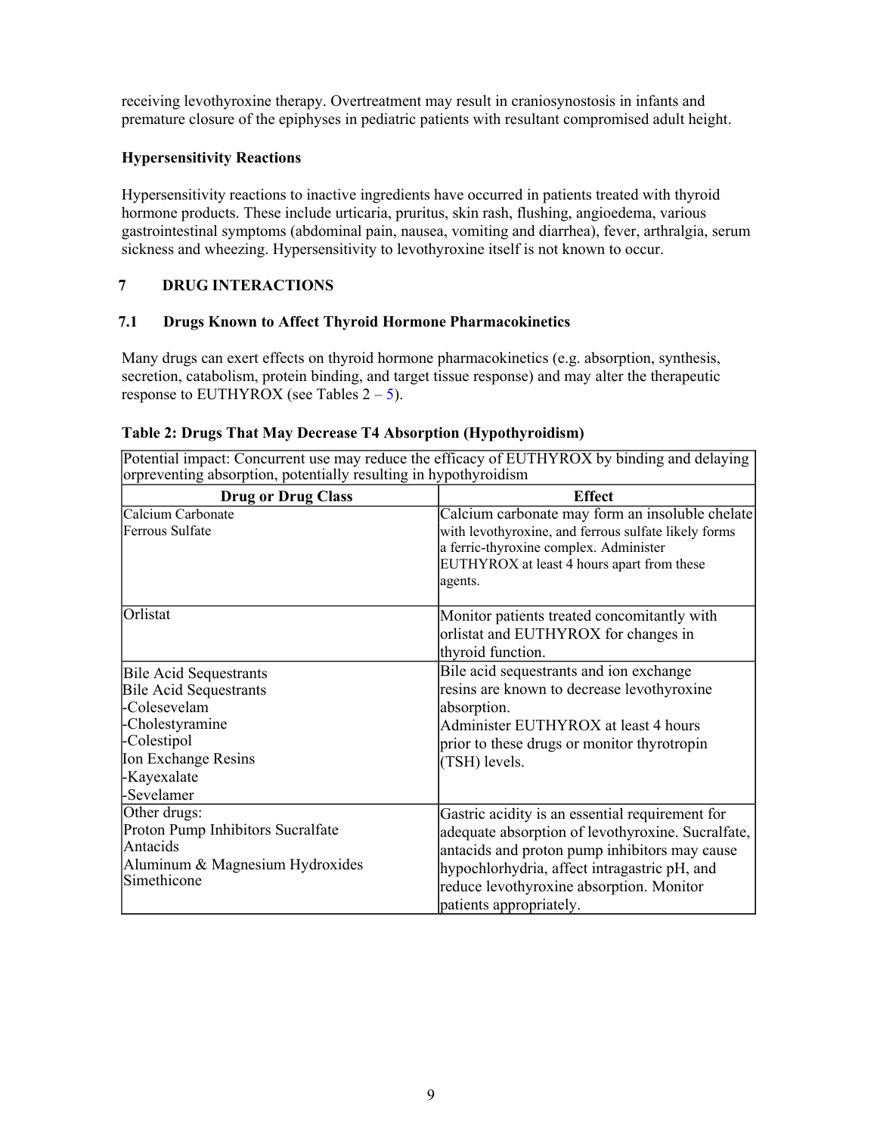<span id="page-8-1"></span><span id="page-8-0"></span>receiving levothyroxine therapy. Overtreatment may result in craniosynostosis in infants and premature closure of the epiphyses in pediatric patients with resultant compromised adult height.

## **Hypersensitivity Reactions**

Hypersensitivity reactions to inactive ingredients have occurred in patients treated with thyroid hormone products. These include urticaria, pruritus, skin rash, flushing, angioedema, various gastrointestinal symptoms (abdominal pain, nausea, vomiting and diarrhea), fever, arthralgia, serum sickness and wheezing. Hypersensitivity to levothyroxine itself is not known to occur.

## <span id="page-8-3"></span><span id="page-8-2"></span>**7 DRUG INTERACTIONS**

### **7.1 Drugs Known to Affect Thyroid Hormone Pharmacokinetics**

Many drugs can exert effects on thyroid hormone pharmacokinetics (e.g. absorption, synthesis, secretion, catabolism, protein binding, and target tissue response) and may alter the therapeutic response to EUTHYROX (see Tables  $2 - 5$  $2 - 5$ ).

| Table 2: Drugs That May Decrease T4 Absorption (Hypothyroidism) |  |
|-----------------------------------------------------------------|--|
|-----------------------------------------------------------------|--|

Potential impact: Concurrent use may reduce the efficacy of EUTHYROX by binding and delaying orpreventing absorption, potentially resulting in hypothyroidism

| <b>Drug or Drug Class</b>                                                                                                                                            | <b>Effect</b>                                                                                                                                                                                                                                                                |  |  |
|----------------------------------------------------------------------------------------------------------------------------------------------------------------------|------------------------------------------------------------------------------------------------------------------------------------------------------------------------------------------------------------------------------------------------------------------------------|--|--|
| Calcium Carbonate<br>Ferrous Sulfate                                                                                                                                 | Calcium carbonate may form an insoluble chelate<br>with levothyroxine, and ferrous sulfate likely forms<br>a ferric-thyroxine complex. Administer<br>EUTHYROX at least 4 hours apart from these<br>agents.                                                                   |  |  |
| Orlistat                                                                                                                                                             | Monitor patients treated concomitantly with<br>orlistat and EUTHYROX for changes in<br>thyroid function.                                                                                                                                                                     |  |  |
| <b>Bile Acid Sequestrants</b><br><b>Bile Acid Sequestrants</b><br>-Colesevelam<br>-Cholestyramine<br>-Colestipol<br>Ion Exchange Resins<br>-Kayexalate<br>-Sevelamer | Bile acid sequestrants and ion exchange<br>resins are known to decrease levothyroxine<br>absorption.<br>Administer EUTHYROX at least 4 hours<br>prior to these drugs or monitor thyrotropin<br>(TSH) levels.                                                                 |  |  |
| Other drugs:<br>Proton Pump Inhibitors Sucralfate<br>Antacids<br>Aluminum & Magnesium Hydroxides<br>Simethicone                                                      | Gastric acidity is an essential requirement for<br>adequate absorption of levothyroxine. Sucralfate,<br>antacids and proton pump inhibitors may cause<br>hypochlorhydria, affect intragastric pH, and<br>reduce levothyroxine absorption. Monitor<br>patients appropriately. |  |  |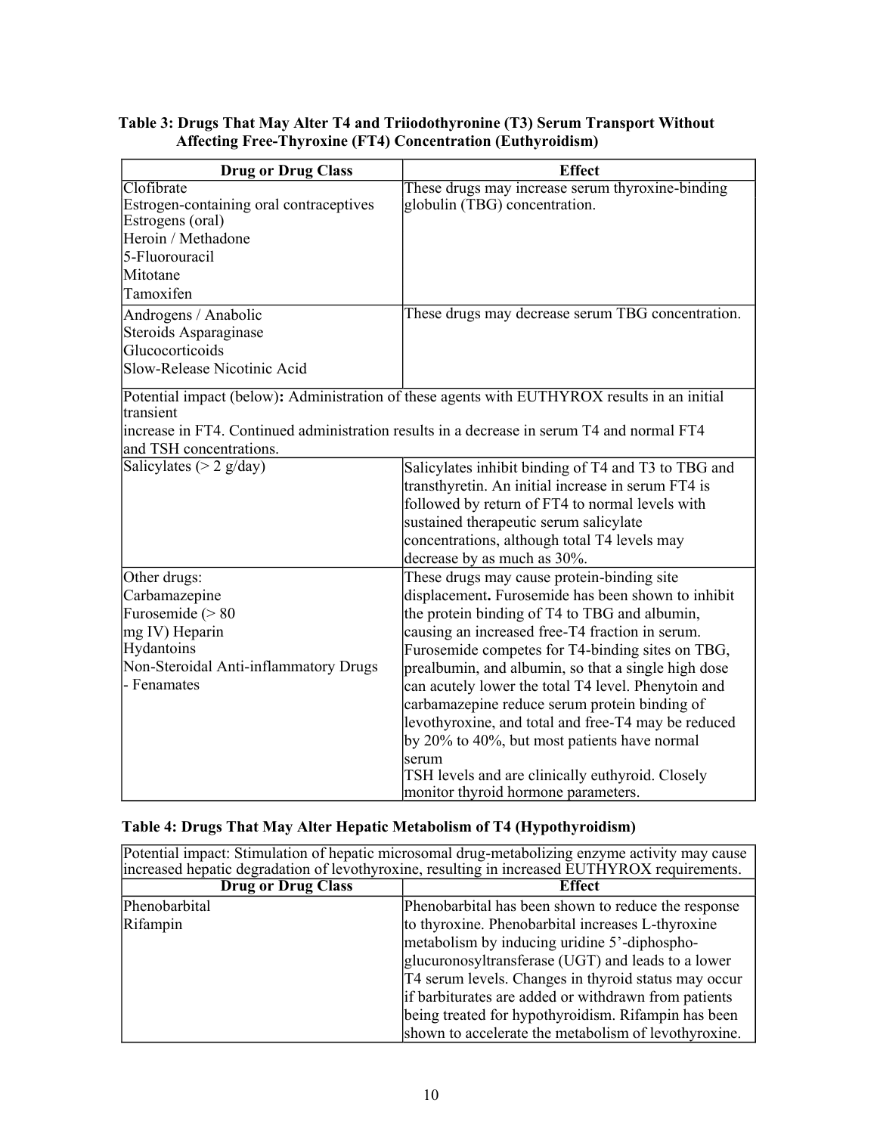### **Table 3: Drugs That May Alter T4 and Triiodothyronine (T3) Serum Transport Without Affecting Free-Thyroxine (FT4) Concentration (Euthyroidism)**

| <b>Drug or Drug Class</b>               | <b>Effect</b>                                                                                |  |
|-----------------------------------------|----------------------------------------------------------------------------------------------|--|
| Clofibrate                              | These drugs may increase serum thyroxine-binding                                             |  |
| Estrogen-containing oral contraceptives | globulin (TBG) concentration.                                                                |  |
| Estrogens (oral)                        |                                                                                              |  |
| Heroin / Methadone                      |                                                                                              |  |
| 5-Fluorouracil                          |                                                                                              |  |
| Mitotane                                |                                                                                              |  |
| Tamoxifen                               |                                                                                              |  |
| Androgens / Anabolic                    | These drugs may decrease serum TBG concentration.                                            |  |
| Steroids Asparaginase                   |                                                                                              |  |
| Glucocorticoids                         |                                                                                              |  |
| Slow-Release Nicotinic Acid             |                                                                                              |  |
|                                         | Potential impact (below): Administration of these agents with EUTHYROX results in an initial |  |
| ltransient                              |                                                                                              |  |
|                                         | increase in FT4. Continued administration results in a decrease in serum T4 and normal FT4   |  |
| and TSH concentrations.                 |                                                                                              |  |
| Salicylates ( $> 2$ g/day)              | Salicylates inhibit binding of T4 and T3 to TBG and                                          |  |
|                                         | transthyretin. An initial increase in serum FT4 is                                           |  |
|                                         | followed by return of FT4 to normal levels with                                              |  |
|                                         | sustained therapeutic serum salicylate                                                       |  |
|                                         | concentrations, although total T4 levels may                                                 |  |
|                                         | decrease by as much as 30%.                                                                  |  |
| Other drugs:                            | These drugs may cause protein-binding site                                                   |  |
| Carbamazepine                           | displacement. Furosemide has been shown to inhibit                                           |  |
| Furosemide $(> 80$                      | the protein binding of T4 to TBG and albumin,                                                |  |
| mg IV) Heparin                          | causing an increased free-T4 fraction in serum.                                              |  |
| Hydantoins                              | Furosemide competes for T4-binding sites on TBG,                                             |  |
| Non-Steroidal Anti-inflammatory Drugs   | prealbumin, and albumin, so that a single high dose                                          |  |
| - Fenamates                             | can acutely lower the total T4 level. Phenytoin and                                          |  |
|                                         | carbamazepine reduce serum protein binding of                                                |  |
|                                         | levothyroxine, and total and free-T4 may be reduced                                          |  |
|                                         | by 20% to 40%, but most patients have normal                                                 |  |
|                                         | serum                                                                                        |  |
|                                         | TSH levels and are clinically euthyroid. Closely                                             |  |
|                                         | monitor thyroid hormone parameters.                                                          |  |

# **Table 4: Drugs That May Alter Hepatic Metabolism of T4 (Hypothyroidism)**

| Potential impact: Stimulation of hepatic microsomal drug-metabolizing enzyme activity may cause<br>increased hepatic degradation of levothyroxine, resulting in increased EUTHYROX requirements. |                                                                                                                                                                                                                  |  |  |
|--------------------------------------------------------------------------------------------------------------------------------------------------------------------------------------------------|------------------------------------------------------------------------------------------------------------------------------------------------------------------------------------------------------------------|--|--|
| <b>Drug or Drug Class</b><br><b>Effect</b>                                                                                                                                                       |                                                                                                                                                                                                                  |  |  |
| Phenobarbital                                                                                                                                                                                    | Phenobarbital has been shown to reduce the response                                                                                                                                                              |  |  |
| Rifampin                                                                                                                                                                                         | to thyroxine. Phenobarbital increases L-thyroxine<br>metabolism by inducing uridine 5'-diphospho-<br>glucuronosyltransferase (UGT) and leads to a lower<br>[T4 serum levels. Changes in thyroid status may occur |  |  |
|                                                                                                                                                                                                  | if barbiturates are added or withdrawn from patients<br>being treated for hypothyroidism. Rifampin has been<br>shown to accelerate the metabolism of levothyroxine.                                              |  |  |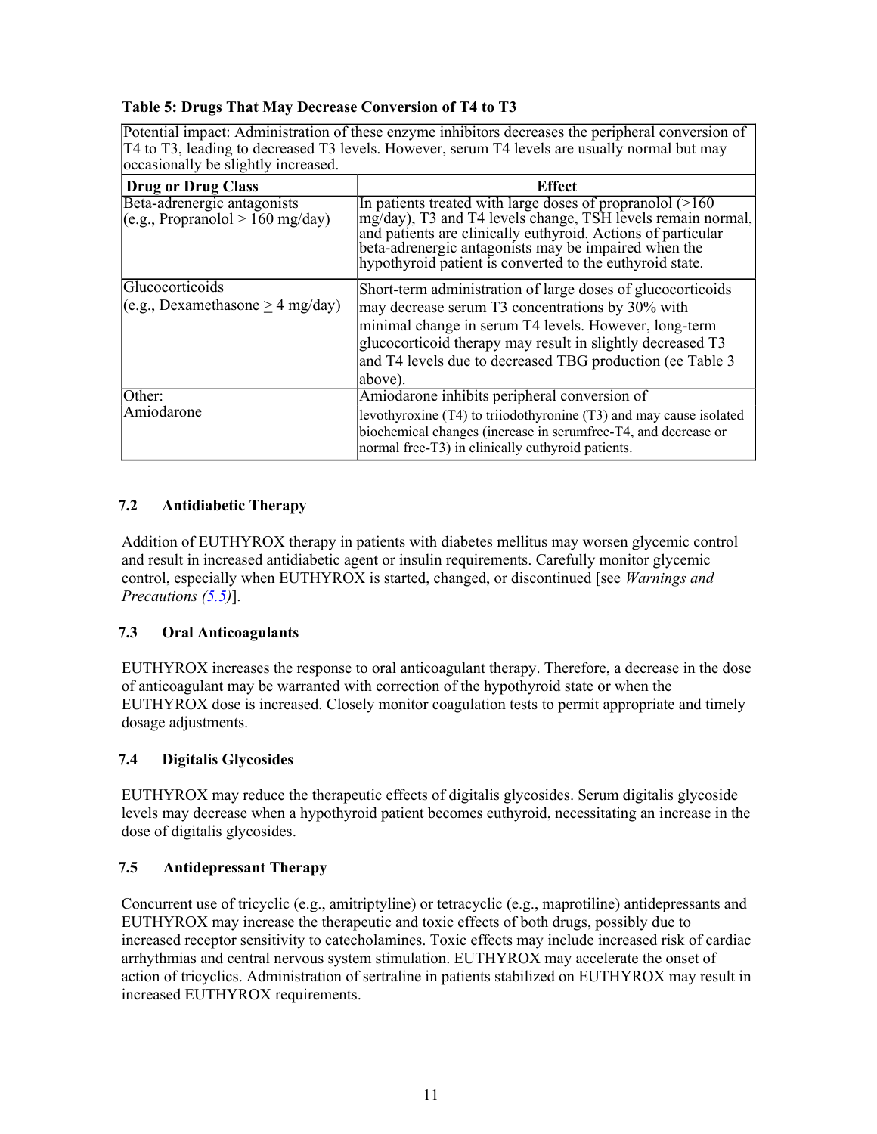### <span id="page-10-2"></span><span id="page-10-0"></span>**Table 5: Drugs That May Decrease Conversion of T4 to T3**

Potential impact: Administration of these enzyme inhibitors decreases the peripheral conversion of T4 to T3, leading to decreased T3 levels. However, serum T4 levels are usually normal but may occasionally be slightly increased.

| $\sigma$                                                         |                                                                                                                                                                                                                                                                                                                   |  |  |  |
|------------------------------------------------------------------|-------------------------------------------------------------------------------------------------------------------------------------------------------------------------------------------------------------------------------------------------------------------------------------------------------------------|--|--|--|
| <b>Drug or Drug Class</b>                                        | <b>Effect</b>                                                                                                                                                                                                                                                                                                     |  |  |  |
| Beta-adrenergic antagonists<br>(e.g.,  Propranolol > 160 mg/day) | In patients treated with large doses of propranolol $(>160$<br>$mg/day$ ), T3 and T4 levels change, TSH levels remain normal,<br>and patients are clinically euthyroid. Actions of particular<br>beta-adrenergic antagonists may be impaired when the<br>hypothyroid patient is converted to the euthyroid state. |  |  |  |
| Glucocorticoids<br>$(e.g.,$ Dexamethasone > 4 mg/day)            | Short-term administration of large doses of glucocorticoids<br>may decrease serum T3 concentrations by 30% with<br>minimal change in serum T4 levels. However, long-term<br>glucocorticoid therapy may result in slightly decreased T3<br>and T4 levels due to decreased TBG production (ee Table 3<br>above).    |  |  |  |
| Other:<br>Amiodarone                                             | Amiodarone inhibits peripheral conversion of<br>levothyroxine (T4) to triiodothyronine (T3) and may cause isolated<br>biochemical changes (increase in serumfree-T4, and decrease or<br>normal free-T3) in clinically euthyroid patients.                                                                         |  |  |  |

# <span id="page-10-1"></span>**7.2 Antidiabetic Therapy**

Addition of EUTHYROX therapy in patients with diabetes mellitus may worsen glycemic control and result in increased antidiabetic agent or insulin requirements. Carefully monitor glycemic control, especially when EUTHYROX is started, changed, or discontinued [see *Warnings and Precautions [\(5.5](#page-7-2))*].

#### **7.3 Oral Anticoagulants**

EUTHYROX increases the response to oral anticoagulant therapy. Therefore, a decrease in the dose of anticoagulant may be warranted with correction of the hypothyroid state or when the EUTHYROX dose is increased. Closely monitor coagulation tests to permit appropriate and timely dosage adjustments.

#### **7.4 Digitalis Glycosides**

EUTHYROX may reduce the therapeutic effects of digitalis glycosides. Serum digitalis glycoside levels may decrease when a hypothyroid patient becomes euthyroid, necessitating an increase in the dose of digitalis glycosides.

# **7.5 Antidepressant Therapy**

Concurrent use of tricyclic (e.g., amitriptyline) or tetracyclic (e.g., maprotiline) antidepressants and EUTHYROX may increase the therapeutic and toxic effects of both drugs, possibly due to increased receptor sensitivity to catecholamines. Toxic effects may include increased risk of cardiac arrhythmias and central nervous system stimulation. EUTHYROX may accelerate the onset of action of tricyclics. Administration of sertraline in patients stabilized on EUTHYROX may result in increased EUTHYROX requirements.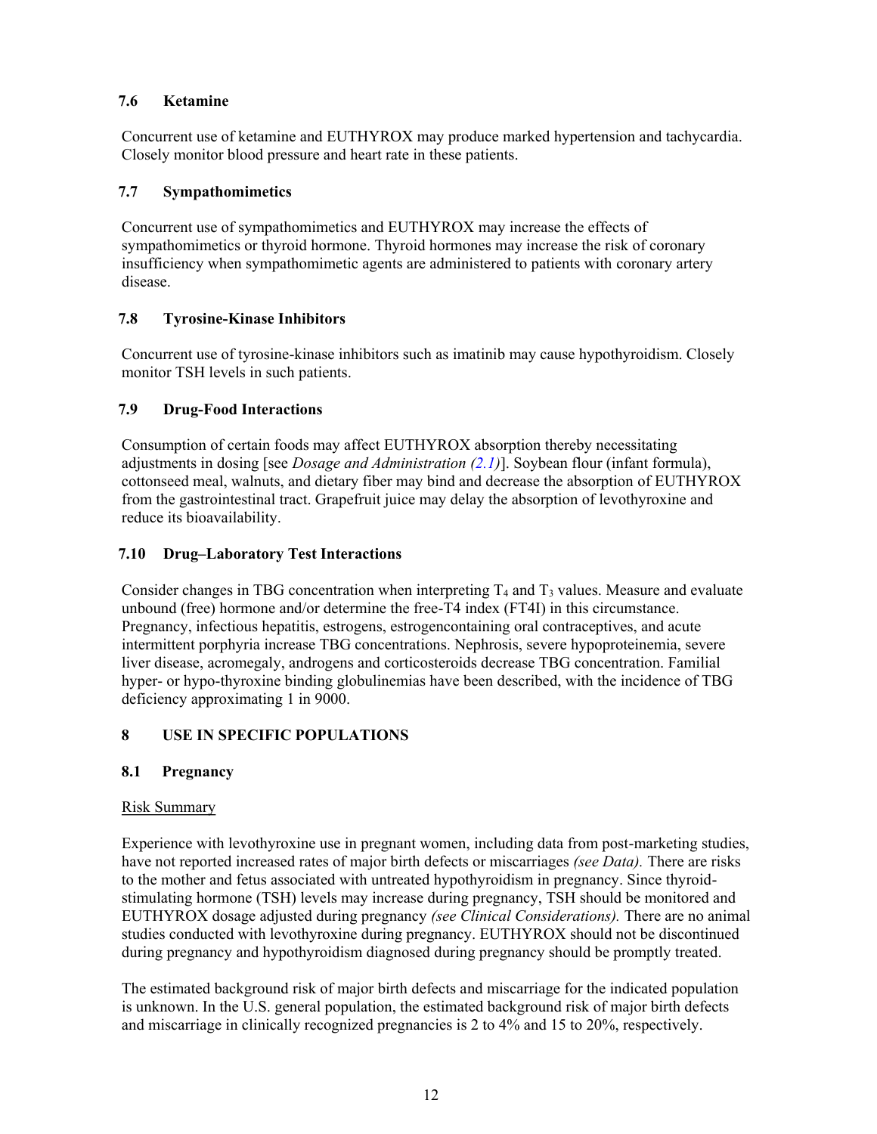### <span id="page-11-1"></span><span id="page-11-0"></span>**7.6 Ketamine**

Concurrent use of ketamine and EUTHYROX may produce marked hypertension and tachycardia. Closely monitor blood pressure and heart rate in these patients.

## <span id="page-11-3"></span>**7.7 Sympathomimetics**

Concurrent use of sympathomimetics and EUTHYROX may increase the effects of sympathomimetics or thyroid hormone. Thyroid hormones may increase the risk of coronary insufficiency when sympathomimetic agents are administered to patients with coronary artery disease.

# **7.8 Tyrosine-Kinase Inhibitors**

Concurrent use of tyrosine-kinase inhibitors such as imatinib may cause hypothyroidism. Closely monitor TSH levels in such patients.

# <span id="page-11-2"></span>**7.9 Drug-Food Interactions**

Consumption of certain foods may affect EUTHYROX absorption thereby necessitating adjustments in dosing [see *Dosage and Administration [\(2.1\)](#page-2-2)*]. Soybean flour (infant formula), cottonseed meal, walnuts, and dietary fiber may bind and decrease the absorption of EUTHYROX from the gastrointestinal tract. Grapefruit juice may delay the absorption of levothyroxine and reduce its bioavailability.

# <span id="page-11-4"></span>**7.10 Drug–Laboratory Test Interactions**

Consider changes in TBG concentration when interpreting  $T_4$  and  $T_3$  values. Measure and evaluate unbound (free) hormone and/or determine the free-T4 index (FT4I) in this circumstance. Pregnancy, infectious hepatitis, estrogens, estrogencontaining oral contraceptives, and acute intermittent porphyria increase TBG concentrations. Nephrosis, severe hypoproteinemia, severe liver disease, acromegaly, androgens and corticosteroids decrease TBG concentration. Familial hyper- or hypo-thyroxine binding globulinemias have been described, with the incidence of TBG deficiency approximating 1 in 9000.

# **8 USE IN SPECIFIC POPULATIONS**

# **8.1 Pregnancy**

# Risk Summary

Experience with levothyroxine use in pregnant women, including data from post-marketing studies, have not reported increased rates of major birth defects or miscarriages *(see Data).* There are risks to the mother and fetus associated with untreated hypothyroidism in pregnancy. Since thyroidstimulating hormone (TSH) levels may increase during pregnancy, TSH should be monitored and EUTHYROX dosage adjusted during pregnancy *(see Clinical Considerations).* There are no animal studies conducted with levothyroxine during pregnancy. EUTHYROX should not be discontinued during pregnancy and hypothyroidism diagnosed during pregnancy should be promptly treated.

The estimated background risk of major birth defects and miscarriage for the indicated population is unknown. In the U.S. general population, the estimated background risk of major birth defects and miscarriage in clinically recognized pregnancies is 2 to 4% and 15 to 20%, respectively.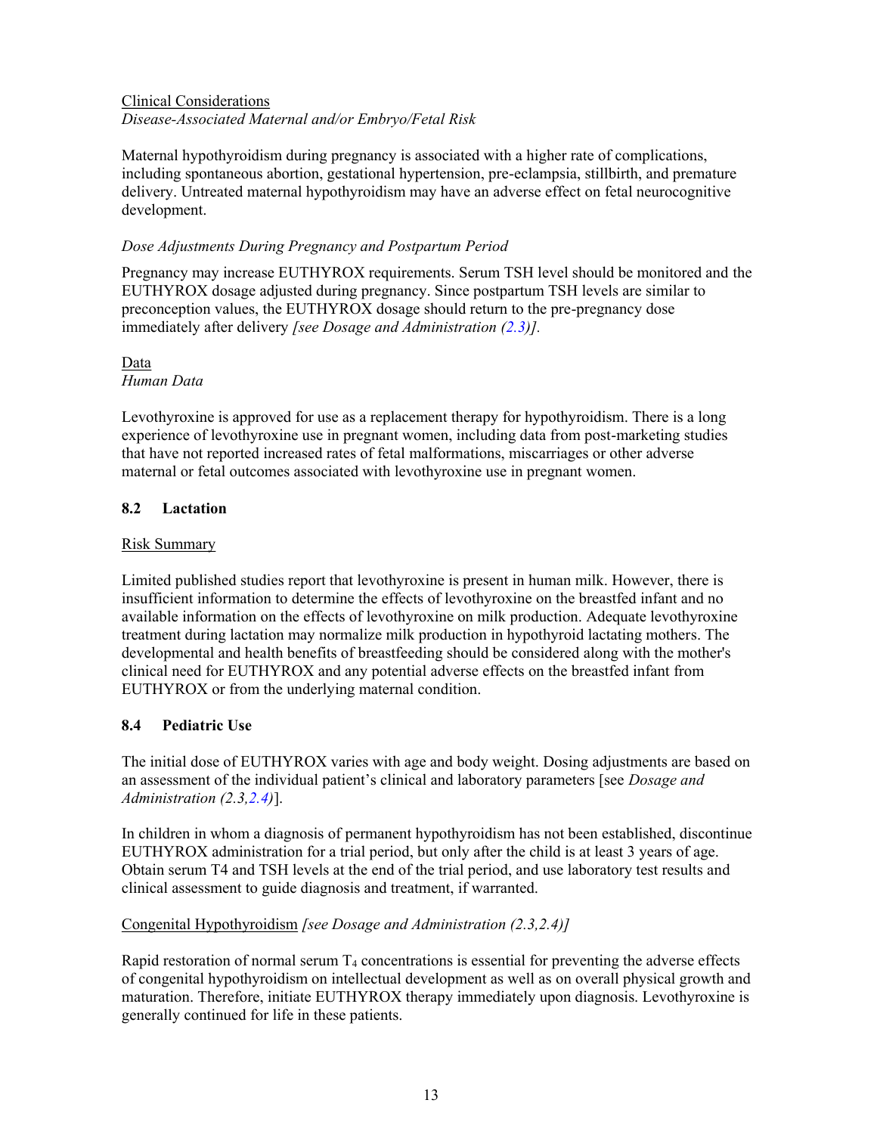## <span id="page-12-0"></span>Clinical Considerations *Disease-Associated Maternal and/or Embryo/Fetal Risk*

Maternal hypothyroidism during pregnancy is associated with a higher rate of complications, including spontaneous abortion, gestational hypertension, pre-eclampsia, stillbirth, and premature delivery. Untreated maternal hypothyroidism may have an adverse effect on fetal neurocognitive development.

#### *Dose Adjustments During Pregnancy and Postpartum Period*

Pregnancy may increase EUTHYROX requirements. Serum TSH level should be monitored and the EUTHYROX dosage adjusted during pregnancy. Since postpartum TSH levels are similar to preconception values, the EUTHYROX dosage should return to the pre-pregnancy dose immediately after delivery *[see Dosage and Administration [\(2.3](#page-3-1))].*

### Data

## *Human Data*

Levothyroxine is approved for use as a replacement therapy for hypothyroidism. There is a long experience of levothyroxine use in pregnant women, including data from post-marketing studies that have not reported increased rates of fetal malformations, miscarriages or other adverse maternal or fetal outcomes associated with levothyroxine use in pregnant women.

### **8.2 Lactation**

#### Risk Summary

Limited published studies report that levothyroxine is present in human milk. However, there is insufficient information to determine the effects of levothyroxine on the breastfed infant and no available information on the effects of levothyroxine on milk production. Adequate levothyroxine treatment during lactation may normalize milk production in hypothyroid lactating mothers. The developmental and health benefits of breastfeeding should be considered along with the mother's clinical need for EUTHYROX and any potential adverse effects on the breastfed infant from EUTHYROX or from the underlying maternal condition.

#### <span id="page-12-1"></span>**8.4 Pediatric Use**

The initial dose of EUTHYROX varies with age and body weight. Dosing adjustments are based on an assessment of the individual patient's clinical and laboratory parameters [see *Dosage and Administration (2.3,[2.4\)](#page-5-1)*].

In children in whom a diagnosis of permanent hypothyroidism has not been established, discontinue EUTHYROX administration for a trial period, but only after the child is at least 3 years of age. Obtain serum T4 and TSH levels at the end of the trial period, and use laboratory test results and clinical assessment to guide diagnosis and treatment, if warranted.

# Congenital Hypothyroidism *[see Dosage and Administration (2.3,2.4)]*

Rapid restoration of normal serum  $T_4$  concentrations is essential for preventing the adverse effects of congenital hypothyroidism on intellectual development as well as on overall physical growth and maturation. Therefore, initiate EUTHYROX therapy immediately upon diagnosis. Levothyroxine is generally continued for life in these patients.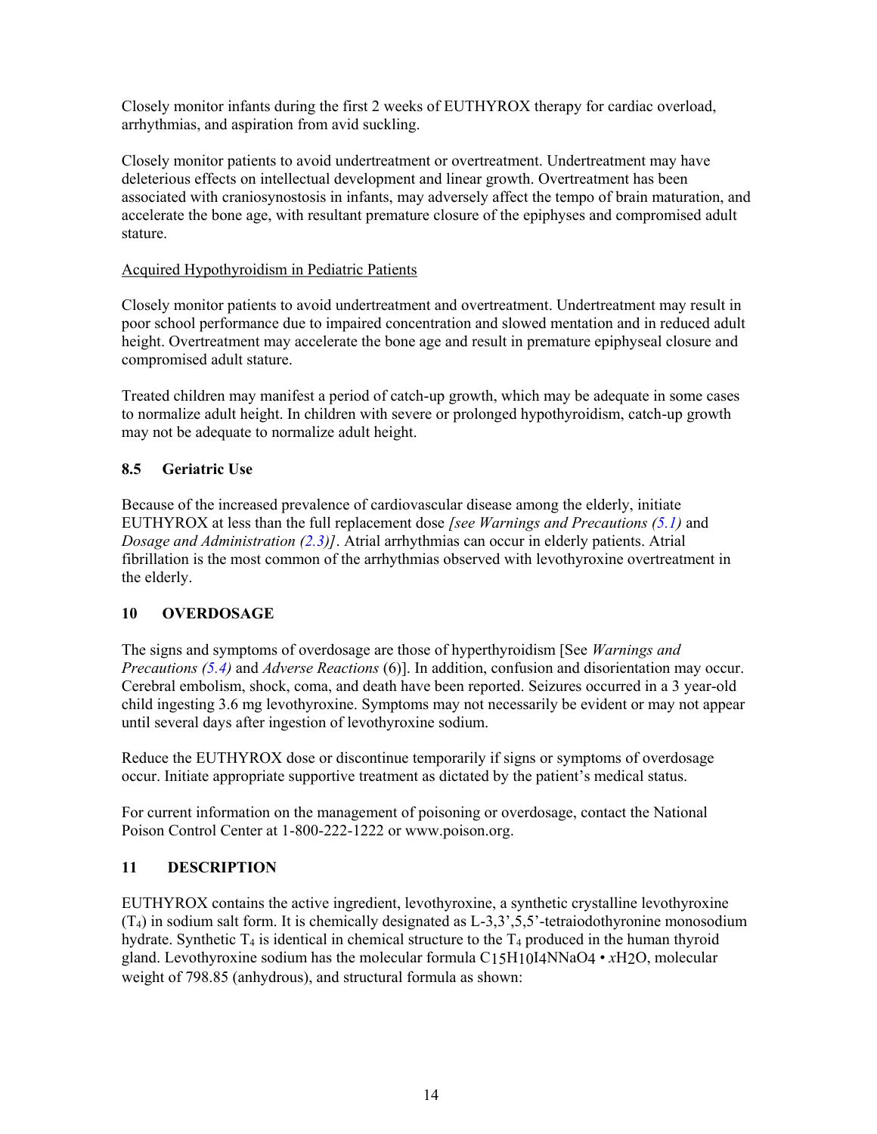<span id="page-13-0"></span>Closely monitor infants during the first 2 weeks of EUTHYROX therapy for cardiac overload, arrhythmias, and aspiration from avid suckling.

Closely monitor patients to avoid undertreatment or overtreatment. Undertreatment may have deleterious effects on intellectual development and linear growth. Overtreatment has been associated with craniosynostosis in infants, may adversely affect the tempo of brain maturation, and accelerate the bone age, with resultant premature closure of the epiphyses and compromised adult stature.

#### Acquired Hypothyroidism in Pediatric Patients

Closely monitor patients to avoid undertreatment and overtreatment. Undertreatment may result in poor school performance due to impaired concentration and slowed mentation and in reduced adult height. Overtreatment may accelerate the bone age and result in premature epiphyseal closure and compromised adult stature.

Treated children may manifest a period of catch-up growth, which may be adequate in some cases to normalize adult height. In children with severe or prolonged hypothyroidism, catch-up growth may not be adequate to normalize adult height.

# <span id="page-13-2"></span>**8.5 Geriatric Use**

Because of the increased prevalence of cardiovascular disease among the elderly, initiate EUTHYROX at less than the full replacement dose *[see Warnings and Precautions ([5.1\)](#page-6-4)* and *Dosage and Administration ([2.3\)](#page-3-1)]*. Atrial arrhythmias can occur in elderly patients. Atrial fibrillation is the most common of the arrhythmias observed with levothyroxine overtreatment in the elderly.

# <span id="page-13-1"></span>**10 OVERDOSAGE**

The signs and symptoms of overdosage are those of hyperthyroidism [See *Warnings and Precautions [\(5.4](#page-7-1))* and *Adverse Reactions* (6)]. In addition, confusion and disorientation may occur. Cerebral embolism, shock, coma, and death have been reported. Seizures occurred in a 3 year-old child ingesting 3.6 mg levothyroxine. Symptoms may not necessarily be evident or may not appear until several days after ingestion of levothyroxine sodium.

Reduce the EUTHYROX dose or discontinue temporarily if signs or symptoms of overdosage occur. Initiate appropriate supportive treatment as dictated by the patient's medical status.

For current information on the management of poisoning or overdosage, contact the National Poison Control Center at 1-800-222-1222 or www.poison.org.

#### **11 DESCRIPTION**

EUTHYROX contains the active ingredient, levothyroxine, a synthetic crystalline levothyroxine  $(T<sub>4</sub>)$  in sodium salt form. It is chemically designated as  $L=3,3^{\circ},5,5^{\circ}$ -tetraiodothyronine monosodium hydrate. Synthetic  $T_4$  is identical in chemical structure to the  $T_4$  produced in the human thyroid gland. Levothyroxine sodium has the molecular formula C15H10I4NNaO4 • *x*H2O, molecular weight of 798.85 (anhydrous), and structural formula as shown: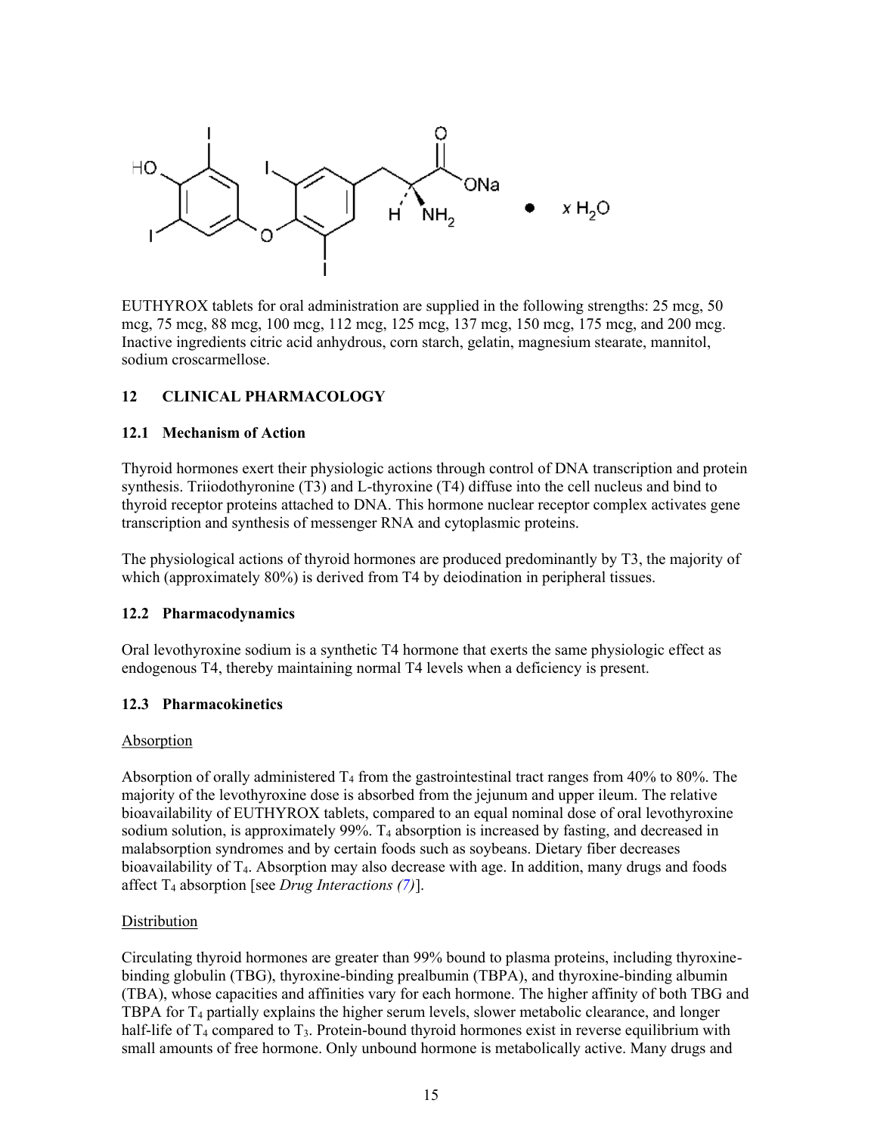<span id="page-14-1"></span><span id="page-14-0"></span>

EUTHYROX tablets for oral administration are supplied in the following strengths: 25 mcg, 50 mcg, 75 mcg, 88 mcg, 100 mcg, 112 mcg, 125 mcg, 137 mcg, 150 mcg, 175 mcg, and 200 mcg. Inactive ingredients citric acid anhydrous, corn starch, gelatin, magnesium stearate, mannitol, sodium croscarmellose.

#### **12 CLINICAL PHARMACOLOGY**

#### **12.1 Mechanism of Action**

Thyroid hormones exert their physiologic actions through control of DNA transcription and protein synthesis. Triiodothyronine (T3) and L-thyroxine (T4) diffuse into the cell nucleus and bind to thyroid receptor proteins attached to DNA. This hormone nuclear receptor complex activates gene transcription and synthesis of messenger RNA and cytoplasmic proteins.

The physiological actions of thyroid hormones are produced predominantly by T3, the majority of which (approximately 80%) is derived from T4 by deiodination in peripheral tissues.

#### **12.2 Pharmacodynamics**

Oral levothyroxine sodium is a synthetic T4 hormone that exerts the same physiologic effect as endogenous T4, thereby maintaining normal T4 levels when a deficiency is present.

#### <span id="page-14-2"></span>**12.3 Pharmacokinetics**

#### Absorption

Absorption of orally administered  $T_4$  from the gastrointestinal tract ranges from 40% to 80%. The majority of the levothyroxine dose is absorbed from the jejunum and upper ileum. The relative bioavailability of EUTHYROX tablets, compared to an equal nominal dose of oral levothyroxine sodium solution, is approximately 99%.  $T_4$  absorption is increased by fasting, and decreased in malabsorption syndromes and by certain foods such as soybeans. Dietary fiber decreases bioavailability of T4. Absorption may also decrease with age. In addition, many drugs and foods affect T<sup>4</sup> absorption [see *Drug Interactions ([7](#page-8-3))*].

#### Distribution

Circulating thyroid hormones are greater than 99% bound to plasma proteins, including thyroxinebinding globulin (TBG), thyroxine-binding prealbumin (TBPA), and thyroxine-binding albumin (TBA), whose capacities and affinities vary for each hormone. The higher affinity of both TBG and TBPA for  $T_4$  partially explains the higher serum levels, slower metabolic clearance, and longer half-life of  $T_4$  compared to  $T_3$ . Protein-bound thyroid hormones exist in reverse equilibrium with small amounts of free hormone. Only unbound hormone is metabolically active. Many drugs and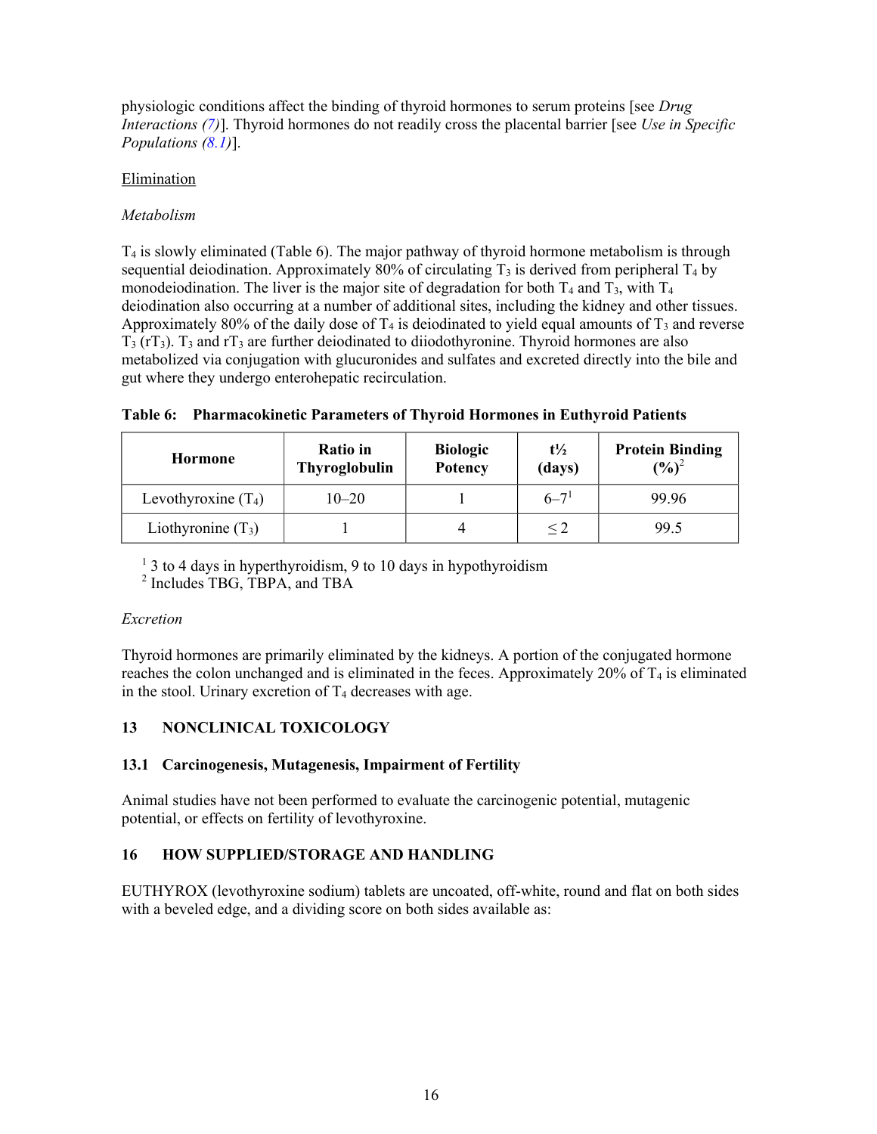physiologic conditions affect the binding of thyroid hormones to serum proteins [see *Drug Interactions ([7](#page-8-3))*]. Thyroid hormones do not readily cross the placental barrier [see *Use in Specific Populations [\(8.1](#page-11-4))*].

#### Elimination

### *Metabolism*

T<sup>4</sup> is slowly eliminated (Table 6). The major pathway of thyroid hormone metabolism is through sequential deiodination. Approximately 80% of circulating  $T_3$  is derived from peripheral  $T_4$  by monodeiodination. The liver is the major site of degradation for both  $T_4$  and  $T_3$ , with  $T_4$ deiodination also occurring at a number of additional sites, including the kidney and other tissues. Approximately 80% of the daily dose of  $T_4$  is deiodinated to yield equal amounts of  $T_3$  and reverse  $T_3$  (rT<sub>3</sub>). T<sub>3</sub> and rT<sub>3</sub> are further deiodinated to diiodothyronine. Thyroid hormones are also metabolized via conjugation with glucuronides and sulfates and excreted directly into the bile and gut where they undergo enterohepatic recirculation.

| Table 6: Pharmacokinetic Parameters of Thyroid Hormones in Euthyroid Patients |  |  |  |
|-------------------------------------------------------------------------------|--|--|--|
|                                                                               |  |  |  |

| <b>Hormone</b>        | <b>Ratio</b> in<br>Thyroglobulin | <b>Biologic</b><br>Potency | $t\frac{1}{2}$<br>(days) | <b>Protein Binding</b><br>$(\frac{6}{6})^2$ |  |
|-----------------------|----------------------------------|----------------------------|--------------------------|---------------------------------------------|--|
| Levothyroxine $(T_4)$ | $10 - 20$                        |                            | $6 - 71$                 | 99.96                                       |  |
| Liothyronine $(T_3)$  |                                  |                            |                          | 99.5                                        |  |

<sup>1</sup> 3 to 4 days in hyperthyroidism, 9 to 10 days in hypothyroidism

2 Includes TBG, TBPA, and TBA

#### *Excretion*

Thyroid hormones are primarily eliminated by the kidneys. A portion of the conjugated hormone reaches the colon unchanged and is eliminated in the feces. Approximately 20% of  $T_4$  is eliminated in the stool. Urinary excretion of  $T_4$  decreases with age.

# <span id="page-15-1"></span><span id="page-15-0"></span>**13 NONCLINICAL TOXICOLOGY**

# **13.1 Carcinogenesis, Mutagenesis, Impairment of Fertility**

Animal studies have not been performed to evaluate the carcinogenic potential, mutagenic potential, or effects on fertility of levothyroxine.

# <span id="page-15-2"></span>**16 HOW SUPPLIED/STORAGE AND HANDLING**

EUTHYROX (levothyroxine sodium) tablets are uncoated, off-white, round and flat on both sides with a beveled edge, and a dividing score on both sides available as: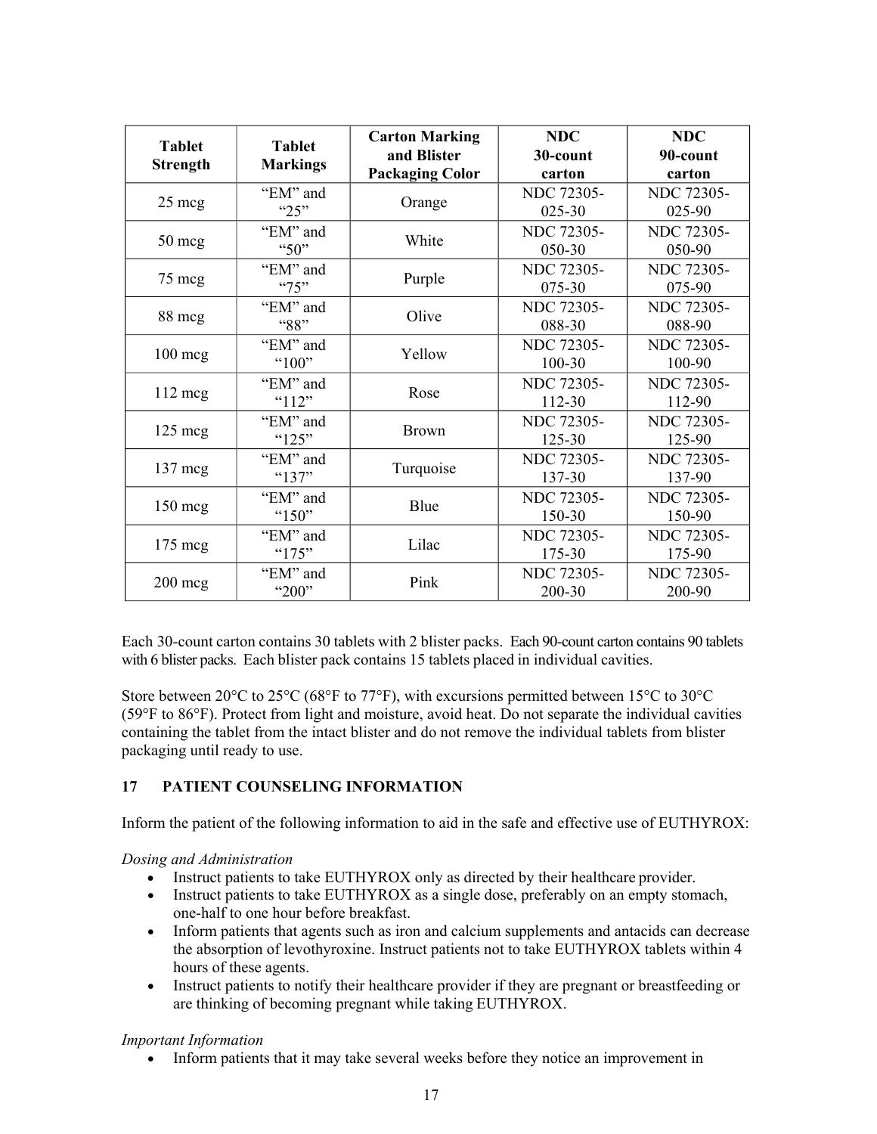<span id="page-16-0"></span>

| <b>Tablet</b><br><b>Strength</b> | <b>Tablet</b><br><b>Markings</b> | <b>Carton Marking</b><br>and Blister<br><b>Packaging Color</b> | <b>NDC</b><br>30-count<br>carton | <b>NDC</b><br>90-count<br>carton |
|----------------------------------|----------------------------------|----------------------------------------------------------------|----------------------------------|----------------------------------|
| $25 \text{~mag}$                 | "EM" and<br>" $25"$              | Orange                                                         | <b>NDC 72305-</b><br>$025 - 30$  | NDC 72305-<br>025-90             |
| $50 \text{~mg}$                  | "EM" and<br>"50"                 | White                                                          | <b>NDC 72305-</b><br>050-30      | <b>NDC 72305-</b><br>050-90      |
| 75 mcg                           | "EM" and<br>475"                 | Purple                                                         | <b>NDC 72305-</b><br>075-30      | <b>NDC</b> 72305-<br>075-90      |
| 88 mcg                           | "EM" and<br>"88"                 | Olive                                                          | <b>NDC 72305-</b><br>088-30      | <b>NDC 72305-</b><br>088-90      |
| $100$ mcg                        | "EM" and<br>"100"                | Yellow                                                         | <b>NDC 72305-</b><br>100-30      | <b>NDC 72305-</b><br>100-90      |
| $112 \text{ meg}$                | "EM" and<br>" $112"$             | Rose                                                           | <b>NDC 72305-</b><br>112-30      | <b>NDC 72305-</b><br>112-90      |
| $125 \text{ mg}$                 | "EM" and<br>" $125"$             | <b>Brown</b>                                                   | <b>NDC 72305-</b><br>125-30      | <b>NDC 72305-</b><br>125-90      |
| $137 \text{ meg}$                | "EM" and<br>"137"                | Turquoise                                                      | <b>NDC 72305-</b><br>137-30      | NDC 72305-<br>137-90             |
| $150 \text{ mg}$                 | "EM" and<br>" $150"$             | Blue                                                           | <b>NDC 72305-</b><br>150-30      | <b>NDC 72305-</b><br>150-90      |
| $175 \text{ meg}$                | "EM" and<br>"175"                | Lilac                                                          | <b>NDC 72305-</b><br>175-30      | NDC 72305-<br>175-90             |
| $200 \text{~mg}$                 | "EM" and<br>"200"                | Pink                                                           | NDC 72305-<br>200-30             | NDC 72305-<br>200-90             |

Each 30-count carton contains 30 tablets with 2 blister packs. Each 90-count carton contains 90 tablets with 6 blister packs. Each blister pack contains 15 tablets placed in individual cavities.

Store between 20°C to 25°C (68°F to 77°F), with excursions permitted between 15°C to 30°C (59°F to 86°F). Protect from light and moisture, avoid heat. Do not separate the individual cavities containing the tablet from the intact blister and do not remove the individual tablets from blister packaging until ready to use.

# **17 PATIENT COUNSELING INFORMATION**

Inform the patient of the following information to aid in the safe and effective use of EUTHYROX:

*Dosing and Administration*

- Instruct patients to take EUTHYROX only as directed by their healthcare provider.
- Instruct patients to take EUTHYROX as a single dose, preferably on an empty stomach, one-half to one hour before breakfast.
- Inform patients that agents such as iron and calcium supplements and antacids can decrease the absorption of levothyroxine. Instruct patients not to take EUTHYROX tablets within 4 hours of these agents.
- Instruct patients to notify their healthcare provider if they are pregnant or breastfeeding or are thinking of becoming pregnant while taking EUTHYROX.

# *Important Information*

Inform patients that it may take several weeks before they notice an improvement in